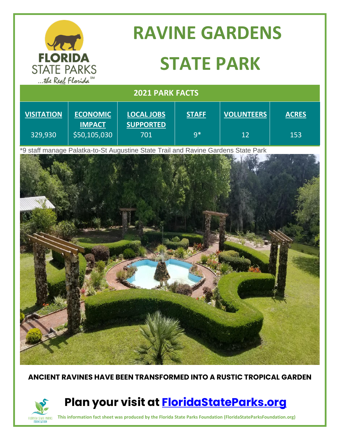

FLORIDA STATE PARKS **FOUNDATION** 

# **RAVINE GARDENS STATE PARK**

### **2021 PARK FACTS**

| <b>VISITATION</b> | <b>ECONOMIC</b><br><b>IMPACT</b> | <b>LOCAL JOBS</b><br><b>SUPPORTED</b> | <b>STAFF</b> | <b>VOLUNTEERS</b> | <b>ACRES</b> |
|-------------------|----------------------------------|---------------------------------------|--------------|-------------------|--------------|
| 329,930           | \$50,105,030                     | 701                                   | g*           | 12                | 153          |

\*9 staff manage Palatka-to-St Augustine State Trail and Ravine Gardens State Park



#### **ANCIENT RAVINES HAVE BEEN TRANSFORMED INTO A RUSTIC TROPICAL GARDEN**

## **Plan your visit at [FloridaStateParks.org](http://www.floridastateparks.org/)**

**This information fact sheet was produced by the Florida State Parks Foundation (FloridaStateParksFoundation.org)**